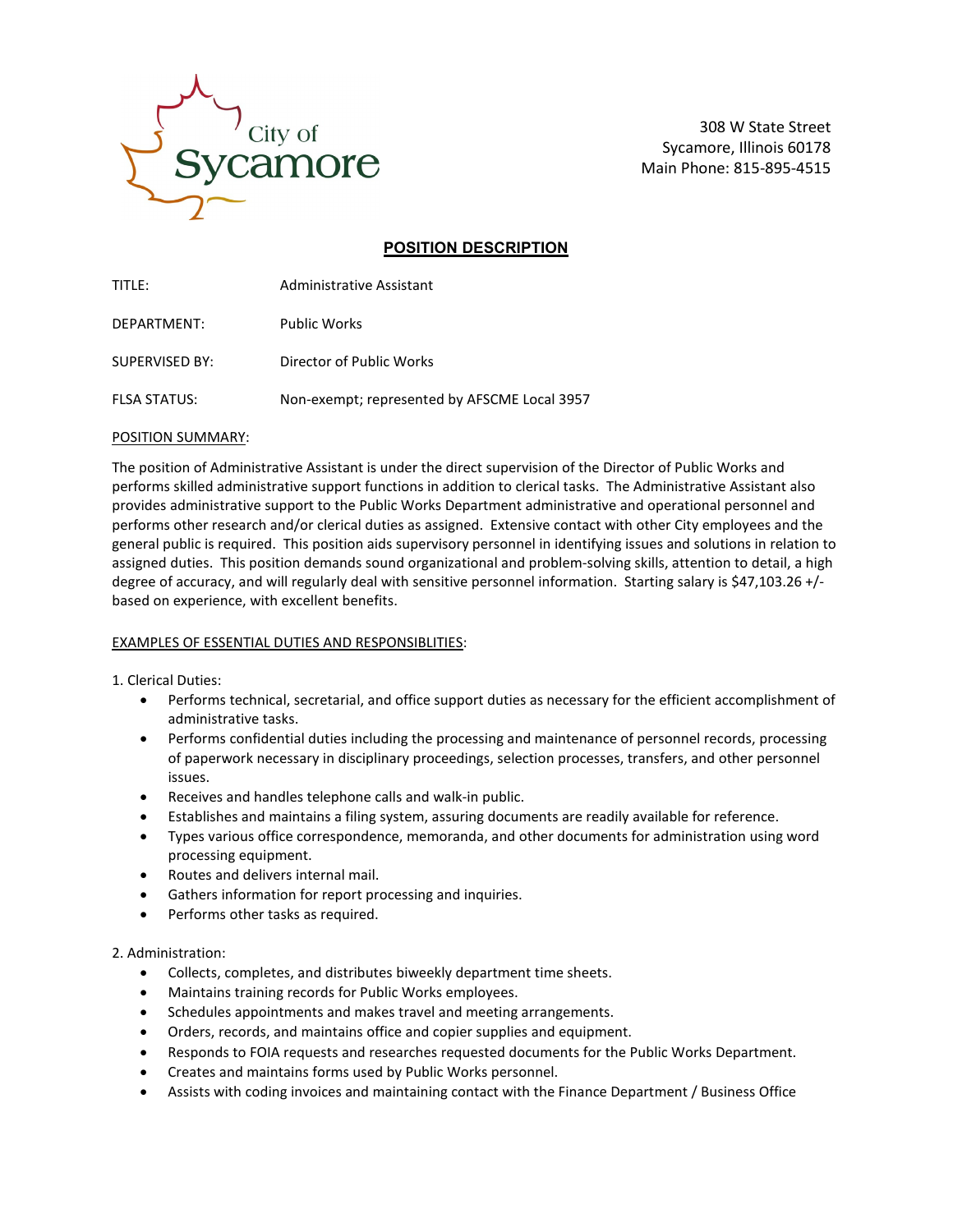

308 W State Street Sycamore, Illinois 60178 Main Phone: 815-895-4515

# **POSITION DESCRIPTION**

| TITI F:               | Administrative Assistant                     |
|-----------------------|----------------------------------------------|
| DEPARTMENT:           | <b>Public Works</b>                          |
| <b>SUPERVISED BY:</b> | Director of Public Works                     |
| <b>FLSA STATUS:</b>   | Non-exempt; represented by AFSCME Local 3957 |

## POSITION SUMMARY:

The position of Administrative Assistant is under the direct supervision of the Director of Public Works and performs skilled administrative support functions in addition to clerical tasks. The Administrative Assistant also provides administrative support to the Public Works Department administrative and operational personnel and performs other research and/or clerical duties as assigned. Extensive contact with other City employees and the general public is required. This position aids supervisory personnel in identifying issues and solutions in relation to assigned duties. This position demands sound organizational and problem-solving skills, attention to detail, a high degree of accuracy, and will regularly deal with sensitive personnel information. Starting salary is \$47,103.26 +/ based on experience, with excellent benefits.

## EXAMPLES OF ESSENTIAL DUTIES AND RESPONSIBLITIES:

1. Clerical Duties:

- Performs technical, secretarial, and office support duties as necessary for the efficient accomplishment of administrative tasks.
- Performs confidential duties including the processing and maintenance of personnel records, processing of paperwork necessary in disciplinary proceedings, selection processes, transfers, and other personnel issues.
- Receives and handles telephone calls and walk-in public.
- Establishes and maintains a filing system, assuring documents are readily available for reference.
- Types various office correspondence, memoranda, and other documents for administration using word processing equipment.
- Routes and delivers internal mail.
- Gathers information for report processing and inquiries.
- Performs other tasks as required.

### 2. Administration:

- Collects, completes, and distributes biweekly department time sheets.
- Maintains training records for Public Works employees.
- Schedules appointments and makes travel and meeting arrangements.
- Orders, records, and maintains office and copier supplies and equipment.
- Responds to FOIA requests and researches requested documents for the Public Works Department.
- Creates and maintains forms used by Public Works personnel.
- Assists with coding invoices and maintaining contact with the Finance Department / Business Office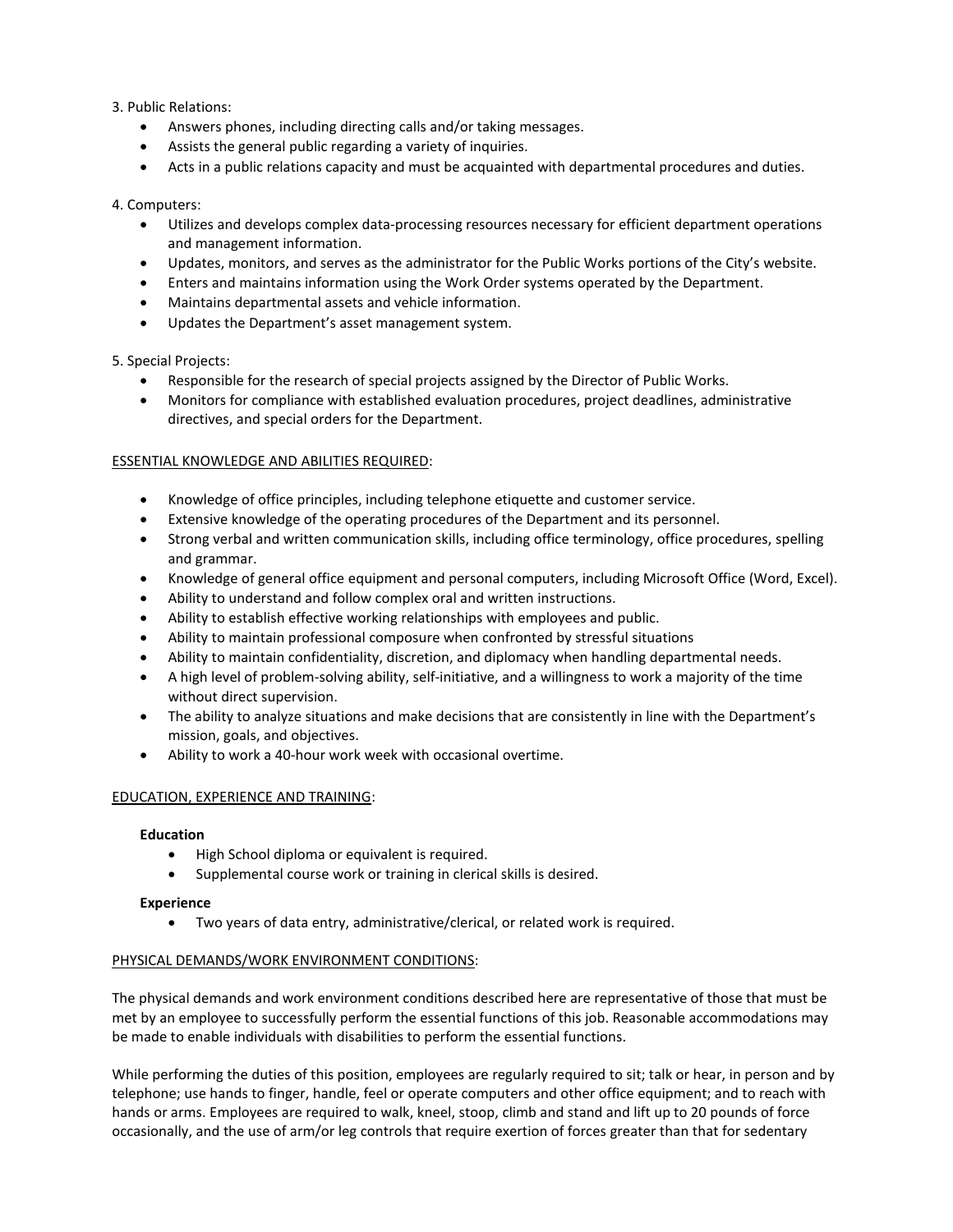## 3. Public Relations:

- Answers phones, including directing calls and/or taking messages.
- Assists the general public regarding a variety of inquiries.
- Acts in a public relations capacity and must be acquainted with departmental procedures and duties.

## 4. Computers:

- Utilizes and develops complex data-processing resources necessary for efficient department operations and management information.
- Updates, monitors, and serves as the administrator for the Public Works portions of the City's website.
- Enters and maintains information using the Work Order systems operated by the Department.
- Maintains departmental assets and vehicle information.
- Updates the Department's asset management system.

## 5. Special Projects:

- Responsible for the research of special projects assigned by the Director of Public Works.
- Monitors for compliance with established evaluation procedures, project deadlines, administrative directives, and special orders for the Department.

## ESSENTIAL KNOWLEDGE AND ABILITIES REQUIRED:

- Knowledge of office principles, including telephone etiquette and customer service.
- Extensive knowledge of the operating procedures of the Department and its personnel.
- Strong verbal and written communication skills, including office terminology, office procedures, spelling and grammar.
- Knowledge of general office equipment and personal computers, including Microsoft Office (Word, Excel).
- Ability to understand and follow complex oral and written instructions.
- Ability to establish effective working relationships with employees and public.
- Ability to maintain professional composure when confronted by stressful situations
- Ability to maintain confidentiality, discretion, and diplomacy when handling departmental needs.
- A high level of problem-solving ability, self-initiative, and a willingness to work a majority of the time without direct supervision.
- The ability to analyze situations and make decisions that are consistently in line with the Department's mission, goals, and objectives.
- Ability to work a 40-hour work week with occasional overtime.

### EDUCATION, EXPERIENCE AND TRAINING:

### **Education**

- High School diploma or equivalent is required.
- Supplemental course work or training in clerical skills is desired.

### **Experience**

• Two years of data entry, administrative/clerical, or related work is required.

## PHYSICAL DEMANDS/WORK ENVIRONMENT CONDITIONS:

The physical demands and work environment conditions described here are representative of those that must be met by an employee to successfully perform the essential functions of this job. Reasonable accommodations may be made to enable individuals with disabilities to perform the essential functions.

While performing the duties of this position, employees are regularly required to sit; talk or hear, in person and by telephone; use hands to finger, handle, feel or operate computers and other office equipment; and to reach with hands or arms. Employees are required to walk, kneel, stoop, climb and stand and lift up to 20 pounds of force occasionally, and the use of arm/or leg controls that require exertion of forces greater than that for sedentary